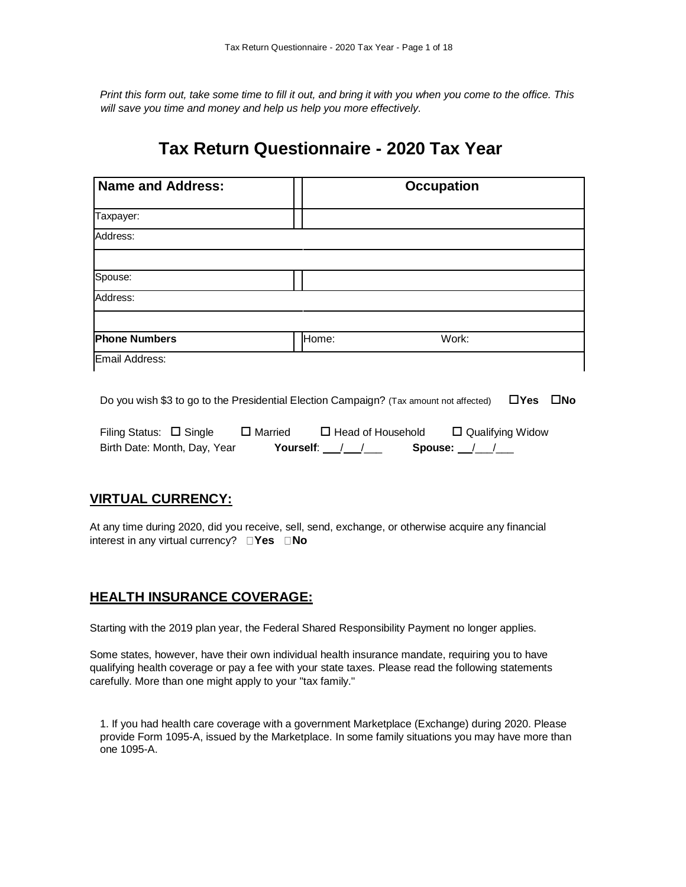*Print this form out, take some time to fill it out, and bring it with you when you come to the office. This will save you time and money and help us help you more effectively.*

# **Tax Return Questionnaire - 2020 Tax Year**

| <b>Name and Address:</b> |       | <b>Occupation</b> |  |  |
|--------------------------|-------|-------------------|--|--|
| Taxpayer:                |       |                   |  |  |
| Address:                 |       |                   |  |  |
|                          |       |                   |  |  |
| Spouse:                  |       |                   |  |  |
| Address:                 |       |                   |  |  |
|                          |       |                   |  |  |
| <b>Phone Numbers</b>     | Home: | Work:             |  |  |
| Email Address:           |       |                   |  |  |

Do you wish \$3 to go to the Presidential Election Campaign? (Tax amount not affected) **Yes No** 

| Filing Status: $\Box$ Single | $\Box$ Married | $\Box$ Head of Household |         | $\Box$ Qualifying Widow |
|------------------------------|----------------|--------------------------|---------|-------------------------|
| Birth Date: Month, Day, Year | Yourself:      |                          | Spouse: |                         |

#### **VIRTUAL CURRENCY:**

At any time during 2020, did you receive, sell, send, exchange, or otherwise acquire any financial interest in any virtual currency?  $\Box$  **Yes**  $\Box$  **No** 

#### **HEALTH INSURANCE COVERAGE:**

Starting with the 2019 plan year, the Federal Shared Responsibility Payment no longer applies.

Some states, however, have their own individual health insurance mandate, requiring you to have qualifying health coverage or pay a fee with your state taxes. Please read the following statements carefully. More than one might apply to your "tax family."

1. If you had health care coverage with a government Marketplace (Exchange) during 2020. Please provide Form 1095-A, issued by the Marketplace. In some family situations you may have more than one 1095-A.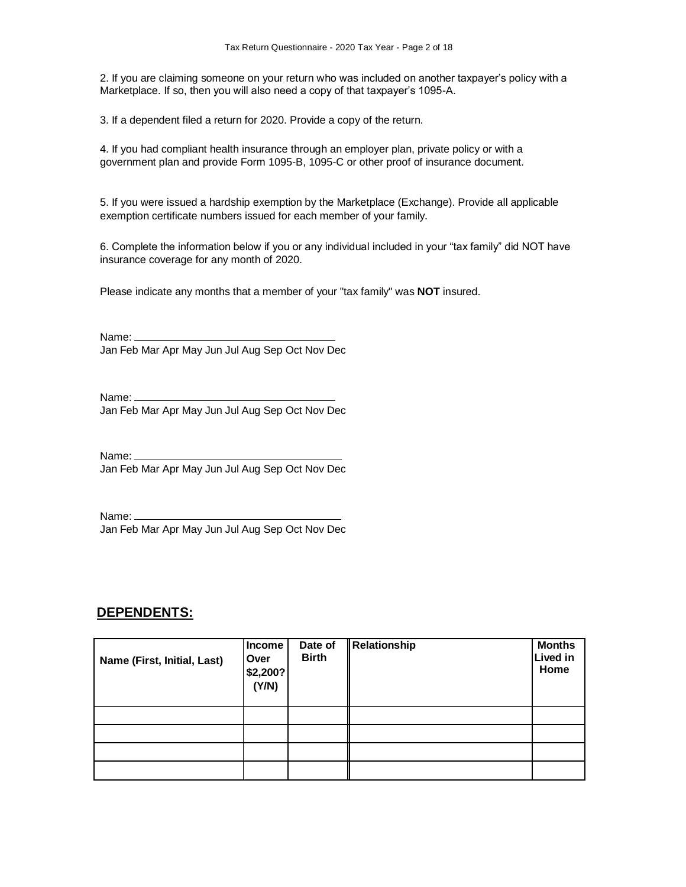2. If you are claiming someone on your return who was included on another taxpayer's policy with a Marketplace. If so, then you will also need a copy of that taxpayer's 1095-A.

3. If a dependent filed a return for 2020. Provide a copy of the return.

4. If you had compliant health insurance through an employer plan, private policy or with a government plan and provide Form 1095-B, 1095-C or other proof of insurance document.

5. If you were issued a hardship exemption by the Marketplace (Exchange). Provide all applicable exemption certificate numbers issued for each member of your family.

6. Complete the information below if you or any individual included in your "tax family" did NOT have insurance coverage for any month of 2020.

Please indicate any months that a member of your "tax family" was **NOT** insured.

Name: Jan Feb Mar Apr May Jun Jul Aug Sep Oct Nov Dec

Name: Jan Feb Mar Apr May Jun Jul Aug Sep Oct Nov Dec

Name: \_\_\_\_\_ Jan Feb Mar Apr May Jun Jul Aug Sep Oct Nov Dec

Name: Jan Feb Mar Apr May Jun Jul Aug Sep Oct Nov Dec

#### **DEPENDENTS:**

| Name (First, Initial, Last) | <b>Income</b><br>Over<br>\$2,200?<br>(Y/N) | Date of<br><b>Birth</b> | Relationship | <b>Months</b><br><b>Lived in</b><br>Home |
|-----------------------------|--------------------------------------------|-------------------------|--------------|------------------------------------------|
|                             |                                            |                         |              |                                          |
|                             |                                            |                         |              |                                          |
|                             |                                            |                         |              |                                          |
|                             |                                            |                         |              |                                          |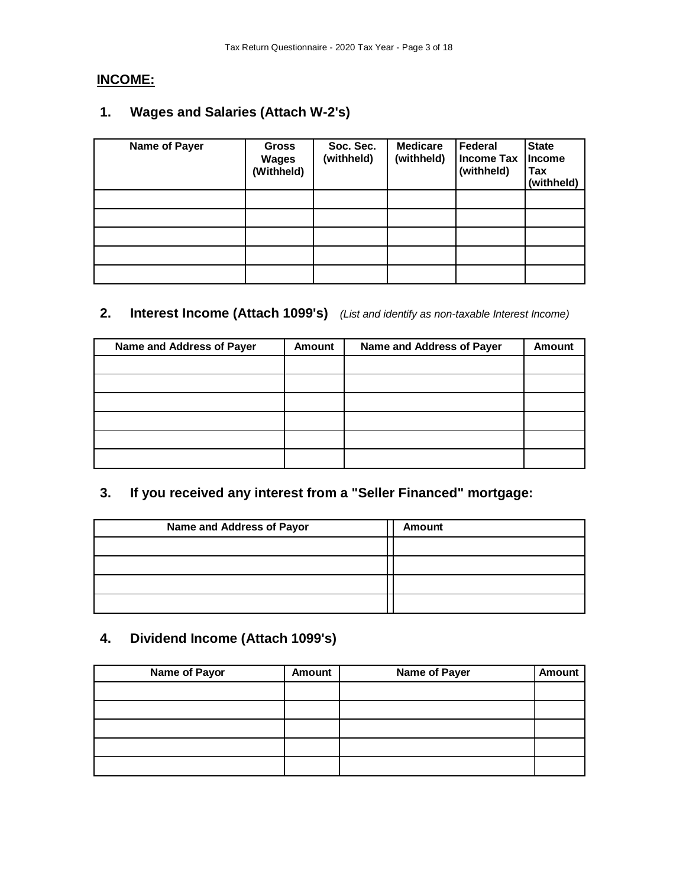# **INCOME:**

# **1. Wages and Salaries (Attach W-2's)**

| Name of Payer | <b>Gross</b><br><b>Wages</b><br>(Withheld) | Soc. Sec.<br>(withheld) | <b>Medicare</b><br>(withheld) | Federal<br><b>Income Tax</b><br>(withheld) | <b>State</b><br><b>Income</b><br>Tax<br>(withheld) |
|---------------|--------------------------------------------|-------------------------|-------------------------------|--------------------------------------------|----------------------------------------------------|
|               |                                            |                         |                               |                                            |                                                    |
|               |                                            |                         |                               |                                            |                                                    |
|               |                                            |                         |                               |                                            |                                                    |
|               |                                            |                         |                               |                                            |                                                    |
|               |                                            |                         |                               |                                            |                                                    |

# **2. Interest Income (Attach 1099's)** *(List and identify as non-taxable Interest Income)*

| Name and Address of Payer | Amount | Name and Address of Payer | <b>Amount</b> |
|---------------------------|--------|---------------------------|---------------|
|                           |        |                           |               |
|                           |        |                           |               |
|                           |        |                           |               |
|                           |        |                           |               |
|                           |        |                           |               |
|                           |        |                           |               |

# **3. If you received any interest from a "Seller Financed" mortgage:**

| Name and Address of Payor | <b>Amount</b> |
|---------------------------|---------------|
|                           |               |
|                           |               |
|                           |               |
|                           |               |

# **4. Dividend Income (Attach 1099's)**

| <b>Name of Payor</b> | <b>Amount</b> | <b>Name of Payer</b> | <b>Amount</b> |
|----------------------|---------------|----------------------|---------------|
|                      |               |                      |               |
|                      |               |                      |               |
|                      |               |                      |               |
|                      |               |                      |               |
|                      |               |                      |               |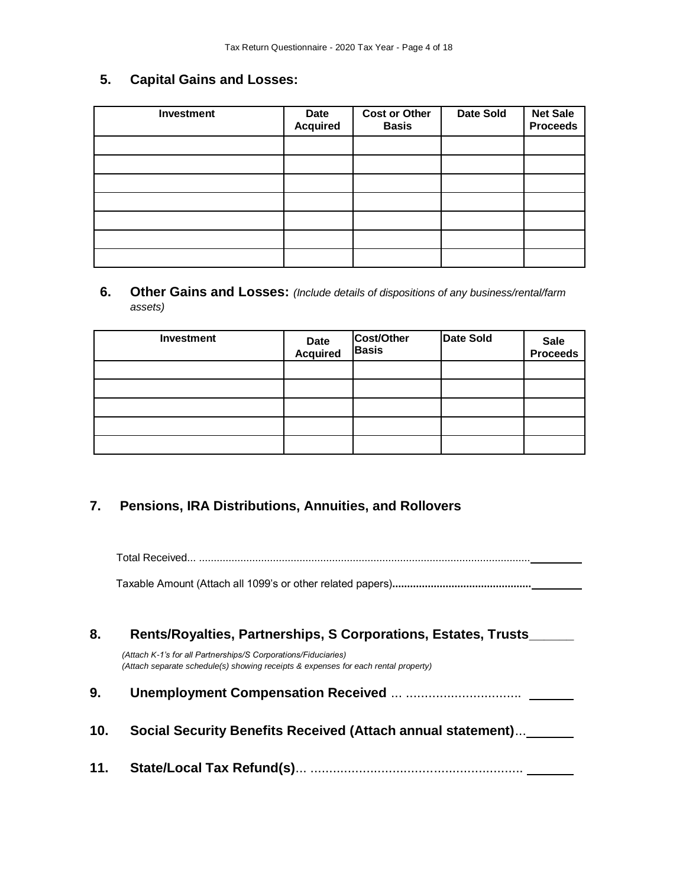## **5. Capital Gains and Losses:**

| <b>Investment</b> | <b>Date</b><br><b>Acquired</b> | <b>Cost or Other</b><br><b>Basis</b> | <b>Date Sold</b> | <b>Net Sale</b><br><b>Proceeds</b> |
|-------------------|--------------------------------|--------------------------------------|------------------|------------------------------------|
|                   |                                |                                      |                  |                                    |
|                   |                                |                                      |                  |                                    |
|                   |                                |                                      |                  |                                    |
|                   |                                |                                      |                  |                                    |
|                   |                                |                                      |                  |                                    |
|                   |                                |                                      |                  |                                    |
|                   |                                |                                      |                  |                                    |

**6. Other Gains and Losses:** *(Include details of dispositions of any business/rental/farm assets)*

| Investment | Date<br>Acquired | Cost/Other<br><b>Basis</b> | <b>Date Sold</b> | Sale<br>Proceeds |
|------------|------------------|----------------------------|------------------|------------------|
|            |                  |                            |                  |                  |
|            |                  |                            |                  |                  |
|            |                  |                            |                  |                  |
|            |                  |                            |                  |                  |
|            |                  |                            |                  |                  |

# **7. Pensions, IRA Distributions, Annuities, and Rollovers**

Total Received... ................................................................................................................

Taxable Amount (Attach all 1099's or other related papers)**...............................................** 

| 8.  | Rents/Royalties, Partnerships, S Corporations, Estates, Trusts                                                                                       |  |  |  |  |
|-----|------------------------------------------------------------------------------------------------------------------------------------------------------|--|--|--|--|
|     | (Attach K-1's for all Partnerships/S Corporations/Fiduciaries)<br>(Attach separate schedule(s) showing receipts & expenses for each rental property) |  |  |  |  |
| 9.  |                                                                                                                                                      |  |  |  |  |
| 10. | Social Security Benefits Received (Attach annual statement)                                                                                          |  |  |  |  |
| 11. |                                                                                                                                                      |  |  |  |  |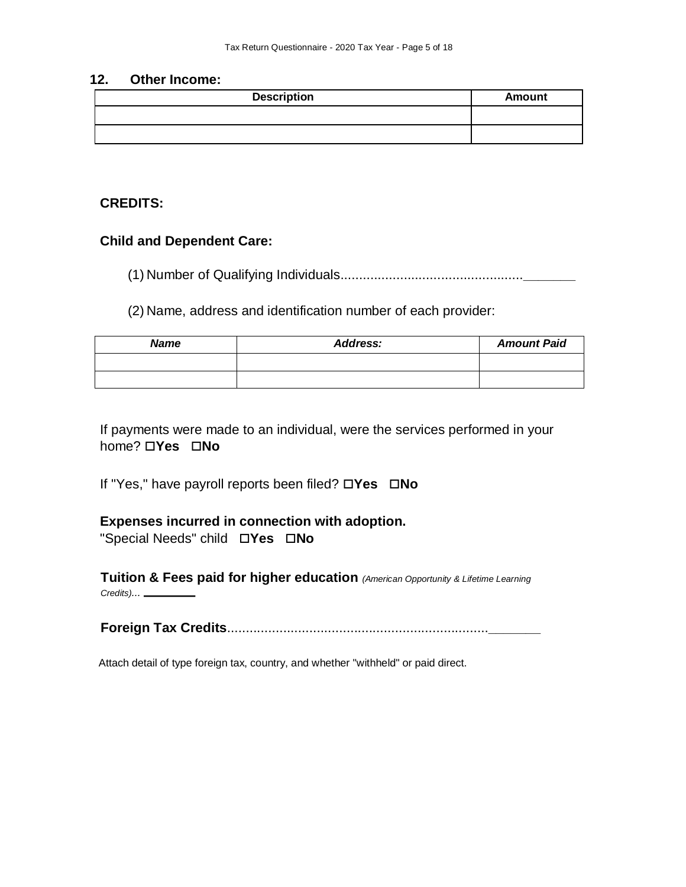#### **12. Other Income:**

| <b>Description</b> | <b>Amount</b> |
|--------------------|---------------|
|                    |               |
|                    |               |

#### **CREDITS:**

#### **Child and Dependent Care:**

(1) Number of Qualifying Individuals.................................................**\_\_\_\_\_\_\_**

(2) Name, address and identification number of each provider:

| <b>Name</b> | <b>Address:</b> | <b>Amount Paid</b> |
|-------------|-----------------|--------------------|
|             |                 |                    |
|             |                 |                    |

If payments were made to an individual, were the services performed in your **home?** □**Yes** □**No** 

If "Yes," have payroll reports been filed? □Yes □No

#### **Expenses incurred in connection with adoption.**

"Special Needs" child **Yes No** 

**Tuition & Fees paid for higher education** *(American Opportunity & Lifetime Learning Credits)...*

**Foreign Tax Credits**......................................................................**\_\_\_\_\_\_\_**

Attach detail of type foreign tax, country, and whether "withheld" or paid direct.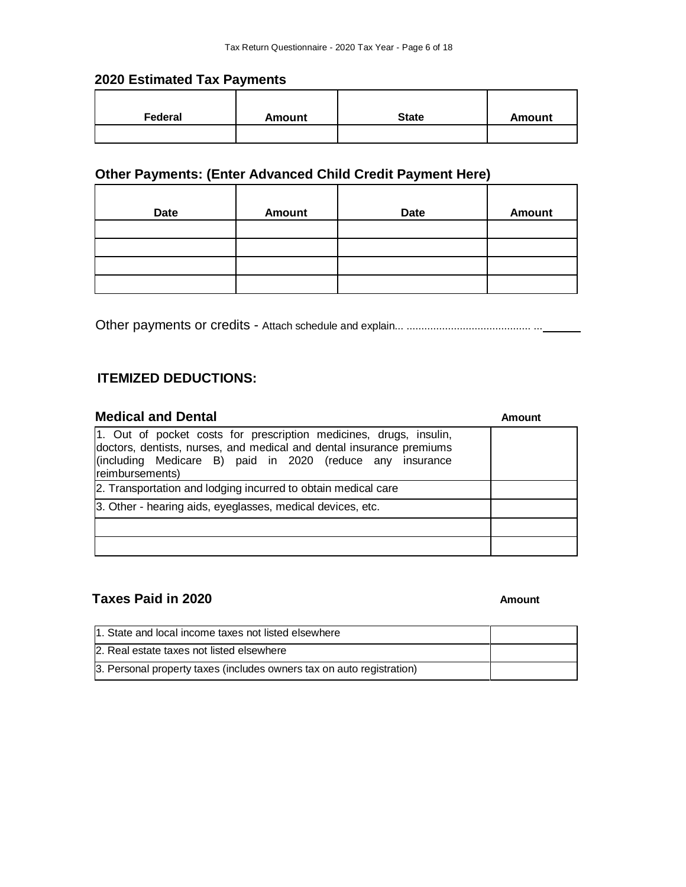#### **2020 Estimated Tax Payments**

| Federal | <b>Amount</b> | <b>State</b> | Amount |
|---------|---------------|--------------|--------|
|         |               |              |        |

# **Other Payments: (Enter Advanced Child Credit Payment Here)**

| <b>Date</b> | Amount | <b>Date</b> | <b>Amount</b> |
|-------------|--------|-------------|---------------|
|             |        |             |               |
|             |        |             |               |
|             |        |             |               |
|             |        |             |               |

Other payments or credits - Attach schedule and explain... .......................................... ...

# **ITEMIZED DEDUCTIONS:**

| <b>Medical and Dental</b>                                                                                                                                                                                                  | Amount |
|----------------------------------------------------------------------------------------------------------------------------------------------------------------------------------------------------------------------------|--------|
| 1. Out of pocket costs for prescription medicines, drugs, insulin,<br>doctors, dentists, nurses, and medical and dental insurance premiums<br>(including Medicare B) paid in 2020 (reduce any insurance<br>reimbursements) |        |
| 2. Transportation and lodging incurred to obtain medical care                                                                                                                                                              |        |
| 3. Other - hearing aids, eyeglasses, medical devices, etc.                                                                                                                                                                 |        |
|                                                                                                                                                                                                                            |        |
|                                                                                                                                                                                                                            |        |

# **Taxes Paid in 2020 Amount Amount Amount**

| 1. State and local income taxes not listed elsewhere                  |  |
|-----------------------------------------------------------------------|--|
| 2. Real estate taxes not listed elsewhere                             |  |
| 3. Personal property taxes (includes owners tax on auto registration) |  |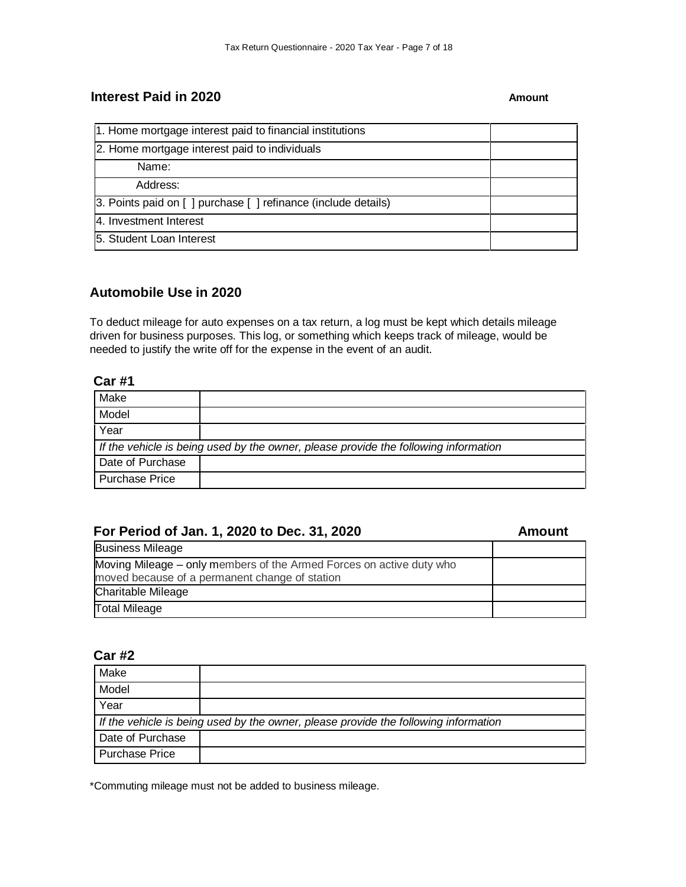#### **Interest Paid in 2020 Amount Amount**

| 1. Home mortgage interest paid to financial institutions       |  |
|----------------------------------------------------------------|--|
| 2. Home mortgage interest paid to individuals                  |  |
| Name:                                                          |  |
| Address:                                                       |  |
| 3. Points paid on [ ] purchase [ ] refinance (include details) |  |
| 4. Investment Interest                                         |  |
| 5. Student Loan Interest                                       |  |

#### **Automobile Use in 2020**

To deduct mileage for auto expenses on a tax return, a log must be kept which details mileage driven for business purposes. This log, or something which keeps track of mileage, would be needed to justify the write off for the expense in the event of an audit.

#### **Car #1**

| Make                                                                                |  |  |
|-------------------------------------------------------------------------------------|--|--|
| Model                                                                               |  |  |
| Year                                                                                |  |  |
| If the vehicle is being used by the owner, please provide the following information |  |  |
| Date of Purchase                                                                    |  |  |
| <b>Purchase Price</b>                                                               |  |  |

# **For Period of Jan. 1, 2020 to Dec. 31, 2020 Amount**

| <b>Business Mileage</b>                                              |  |
|----------------------------------------------------------------------|--|
| Moving Mileage – only members of the Armed Forces on active duty who |  |
| moved because of a permanent change of station                       |  |
| Charitable Mileage                                                   |  |
| <b>Total Mileage</b>                                                 |  |

#### **Car #2**

| Make                                                                                |  |  |
|-------------------------------------------------------------------------------------|--|--|
| Model                                                                               |  |  |
| Year                                                                                |  |  |
| If the vehicle is being used by the owner, please provide the following information |  |  |
| Date of Purchase                                                                    |  |  |
| <b>Purchase Price</b>                                                               |  |  |

\*Commuting mileage must not be added to business mileage.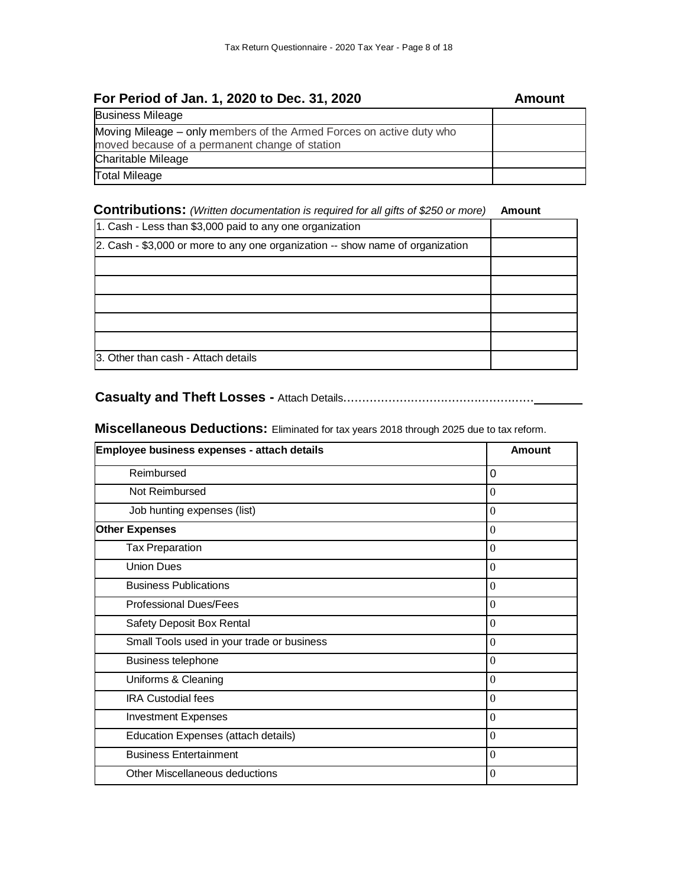| For Period of Jan. 1, 2020 to Dec. 31, 2020                                                                            | Amount |
|------------------------------------------------------------------------------------------------------------------------|--------|
| <b>Business Mileage</b>                                                                                                |        |
| Moving Mileage – only members of the Armed Forces on active duty who<br>moved because of a permanent change of station |        |
| <b>Charitable Mileage</b>                                                                                              |        |
| <b>Total Mileage</b>                                                                                                   |        |

#### **Contributions:** *(Written documentation is required for all gifts of \$250 or more)* **Amount**

| 1. Cash - Less than \$3,000 paid to any one organization                       |  |
|--------------------------------------------------------------------------------|--|
| 2. Cash - \$3,000 or more to any one organization -- show name of organization |  |
|                                                                                |  |
|                                                                                |  |
|                                                                                |  |
|                                                                                |  |
|                                                                                |  |
| 3. Other than cash - Attach details                                            |  |

# **Casualty and Theft Losses -** Attach Details...................................................

# **Miscellaneous Deductions:** Eliminated for tax years 2018 through 2025 due to tax reform.

| Employee business expenses - attach details | Amount           |
|---------------------------------------------|------------------|
| Reimbursed                                  | 0                |
| Not Reimbursed                              | $\theta$         |
| Job hunting expenses (list)                 | $\theta$         |
| <b>Other Expenses</b>                       | $\theta$         |
| <b>Tax Preparation</b>                      | $\theta$         |
| <b>Union Dues</b>                           | $\theta$         |
| <b>Business Publications</b>                | $\theta$         |
| <b>Professional Dues/Fees</b>               | $\theta$         |
| Safety Deposit Box Rental                   | $\theta$         |
| Small Tools used in your trade or business  | $\theta$         |
| <b>Business telephone</b>                   | $\theta$         |
| Uniforms & Cleaning                         | $\Omega$         |
| <b>IRA Custodial fees</b>                   | $\boldsymbol{0}$ |
| <b>Investment Expenses</b>                  | $\theta$         |
| Education Expenses (attach details)         | $\Omega$         |
| <b>Business Entertainment</b>               | $\boldsymbol{0}$ |
| Other Miscellaneous deductions              | $\theta$         |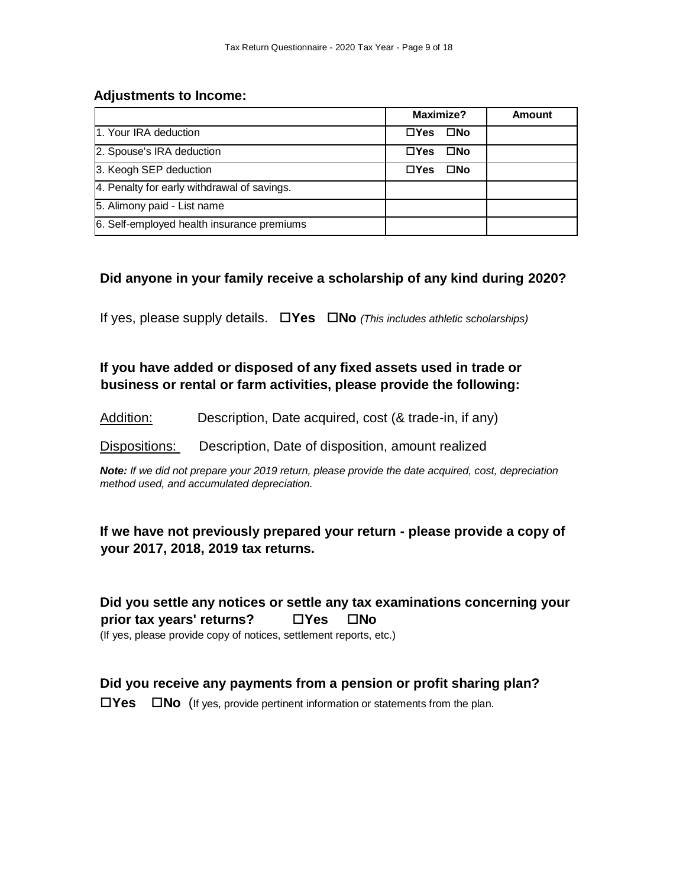#### **Adjustments to Income:**

|                                             | Maximize?                   | <b>Amount</b> |
|---------------------------------------------|-----------------------------|---------------|
| 1. Your IRA deduction                       | $\Box Y$ es<br>$\square$ No |               |
| 2. Spouse's IRA deduction                   | $\square$ No<br>$\Box Y$ es |               |
| 3. Keogh SEP deduction                      | $\Box Y$ es<br>$\square$ No |               |
| 4. Penalty for early withdrawal of savings. |                             |               |
| 5. Alimony paid - List name                 |                             |               |
| 6. Self-employed health insurance premiums  |                             |               |

#### **Did anyone in your family receive a scholarship of any kind during 2020?**

If yes, please supply details. **Yes No** *(This includes athletic scholarships)*

**If you have added or disposed of any fixed assets used in trade or business or rental or farm activities, please provide the following:** 

Addition: Description, Date acquired, cost (& trade-in, if any)

Dispositions: Description, Date of disposition, amount realized

*Note: If we did not prepare your 2019 return, please provide the date acquired, cost, depreciation method used, and accumulated depreciation.*

# **If we have not previously prepared your return - please provide a copy of your 2017, 2018, 2019 tax returns.**

**Did you settle any notices or settle any tax examinations concerning your prior tax years' returns?** □ Yes □ No (If yes, please provide copy of notices, settlement reports, etc.)

## **Did you receive any payments from a pension or profit sharing plan?**

**Yes No** (If yes, provide pertinent information or statements from the plan.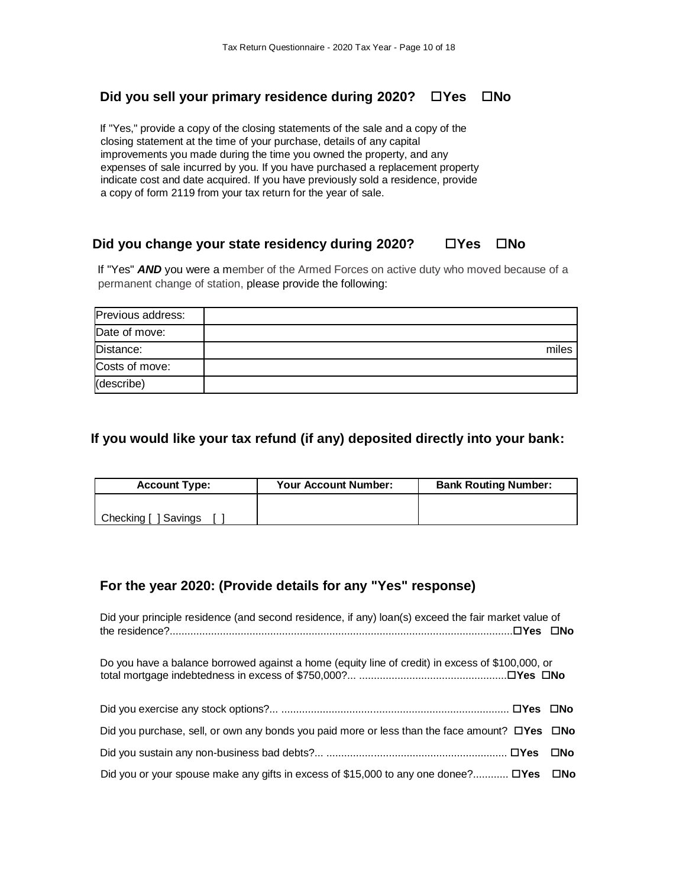#### **Did you sell your primary residence during 2020? □ Yes □ No**

If "Yes," provide a copy of the closing statements of the sale and a copy of the closing statement at the time of your purchase, details of any capital improvements you made during the time you owned the property, and any expenses of sale incurred by you. If you have purchased a replacement property indicate cost and date acquired. If you have previously sold a residence, provide a copy of form 2119 from your tax return for the year of sale.

#### **Did you change your state residency during 2020? □ Yes □ No**

If "Yes" *AND* you were a member of the Armed Forces on active duty who moved because of a permanent change of station, please provide the following:

| Previous address: |       |
|-------------------|-------|
| Date of move:     |       |
| Distance:         | miles |
| Costs of move:    |       |
| (describe)        |       |

#### **If you would like your tax refund (if any) deposited directly into your bank:**

| <b>Account Type:</b> | <b>Your Account Number:</b> | <b>Bank Routing Number:</b> |
|----------------------|-----------------------------|-----------------------------|
|                      |                             |                             |
| Checking [ ] Savings |                             |                             |

## **For the year 2020: (Provide details for any "Yes" response)**

| Did your principle residence (and second residence, if any) loan(s) exceed the fair market value of             |     |
|-----------------------------------------------------------------------------------------------------------------|-----|
| Do you have a balance borrowed against a home (equity line of credit) in excess of \$100,000, or                |     |
|                                                                                                                 |     |
| Did you purchase, sell, or own any bonds you paid more or less than the face amount? $\square$ Yes $\square$ No |     |
|                                                                                                                 | ⊟No |
| Did you or your spouse make any gifts in excess of \$15,000 to any one donee? $\square$ Yes $\square$ No        |     |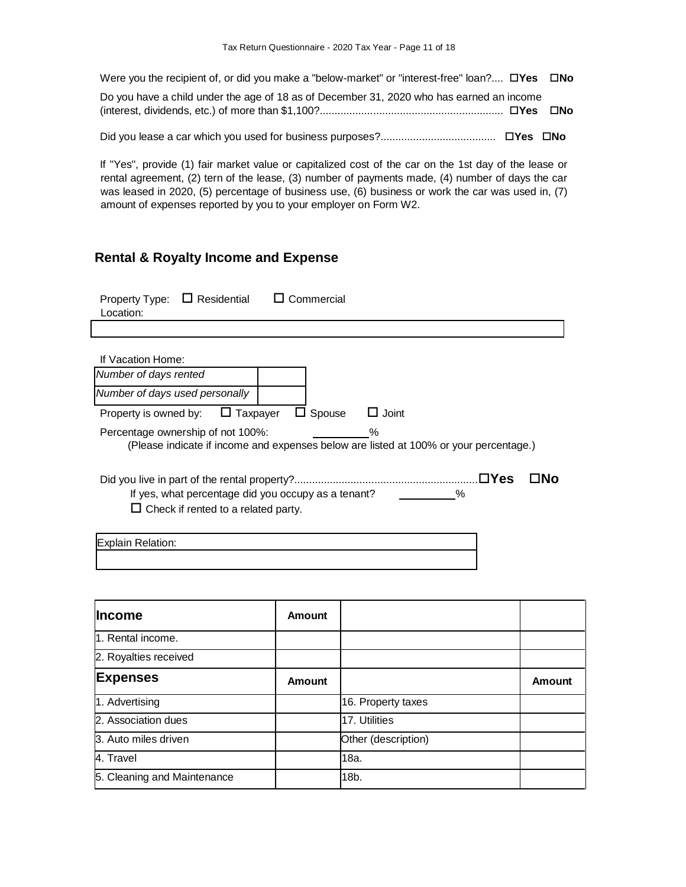| Were you the recipient of, or did you make a "below-market" or "interest-free" loan? $\Box$ Yes $\Box$ No |  |
|-----------------------------------------------------------------------------------------------------------|--|
| Do you have a child under the age of 18 as of December 31, 2020 who has earned an income                  |  |
|                                                                                                           |  |

If "Yes", provide (1) fair market value or capitalized cost of the car on the 1st day of the lease or rental agreement, (2) tern of the lease, (3) number of payments made, (4) number of days the car was leased in 2020, (5) percentage of business use, (6) business or work the car was used in, (7) amount of expenses reported by you to your employer on Form W2.

# **Rental & Royalty Income and Expense**

| Property Type:<br>Location:       | $\Box$ Residential                                                                                |   | Commercial |              |      |            |    |
|-----------------------------------|---------------------------------------------------------------------------------------------------|---|------------|--------------|------|------------|----|
|                                   |                                                                                                   |   |            |              |      |            |    |
| If Vacation Home:                 |                                                                                                   |   |            |              |      |            |    |
| Number of days rented             |                                                                                                   |   |            |              |      |            |    |
| Number of days used personally    |                                                                                                   |   |            |              |      |            |    |
| Property is owned by:             | $\sqcup$ Taxpayer                                                                                 | ப | Spouse     | $\Box$ Joint |      |            |    |
| Percentage ownership of not 100%: | (Please indicate if income and expenses below are listed at 100% or your percentage.)             |   |            | ℅            |      |            |    |
|                                   | If yes, what percentage did you occupy as a tenant?<br>$\Box$ Check if rented to a related party. |   |            |              | $\%$ | $\Box$ Yes | NΩ |
| <b>Explain Relation:</b>          |                                                                                                   |   |            |              |      |            |    |

| <b>Income</b>               | <b>Amount</b> |                     |        |
|-----------------------------|---------------|---------------------|--------|
| 1. Rental income.           |               |                     |        |
| 2. Royalties received       |               |                     |        |
| <b>Expenses</b>             | <b>Amount</b> |                     | Amount |
| 1. Advertising              |               | 16. Property taxes  |        |
| 2. Association dues         |               | 17. Utilities       |        |
| 3. Auto miles driven        |               | Other (description) |        |
| 4. Travel                   |               | 18a.                |        |
| 5. Cleaning and Maintenance |               | 18b.                |        |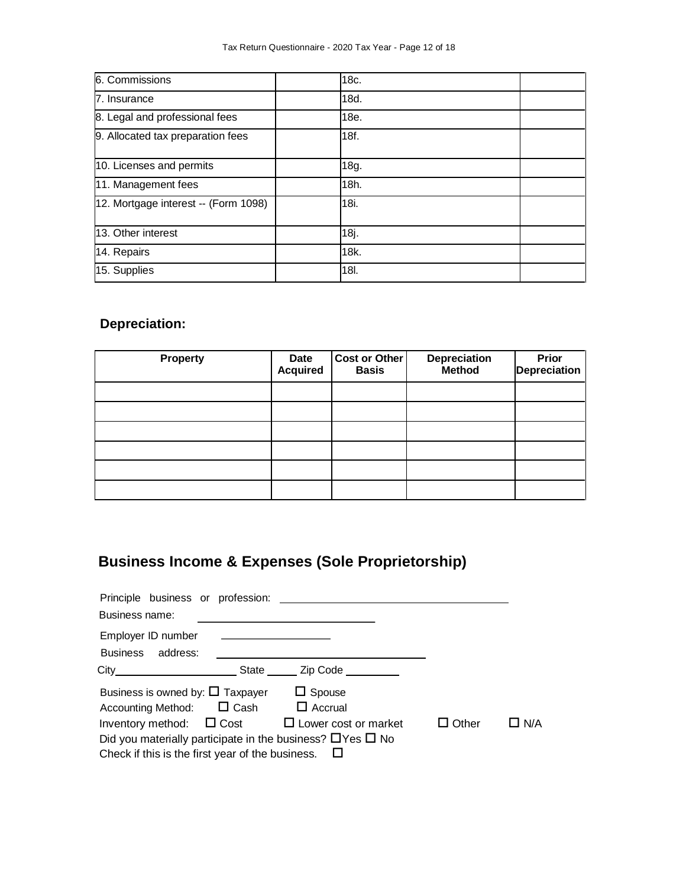| 6. Commissions                       | 18c. |  |
|--------------------------------------|------|--|
| 7. Insurance                         | 18d. |  |
| 8. Legal and professional fees       | 18e. |  |
| 9. Allocated tax preparation fees    | 18f. |  |
| 10. Licenses and permits             | 18g. |  |
| 11. Management fees                  | 18h. |  |
| 12. Mortgage interest -- (Form 1098) | 18i. |  |
| 13. Other interest                   | 18j. |  |
| 14. Repairs                          | 18k. |  |
| 15. Supplies                         | 18I. |  |

# **Depreciation:**

| <b>Property</b> | <b>Date</b><br><b>Acquired</b> | <b>Cost or Other</b><br><b>Basis</b> | Depreciation<br><b>Method</b> | <b>Prior</b><br>Depreciation |
|-----------------|--------------------------------|--------------------------------------|-------------------------------|------------------------------|
|                 |                                |                                      |                               |                              |
|                 |                                |                                      |                               |                              |
|                 |                                |                                      |                               |                              |
|                 |                                |                                      |                               |                              |
|                 |                                |                                      |                               |                              |
|                 |                                |                                      |                               |                              |

# **Business Income & Expenses (Sole Proprietorship)**

| Principle business or profession:                                    |       |                      |              |            |
|----------------------------------------------------------------------|-------|----------------------|--------------|------------|
| Business name:                                                       |       |                      |              |            |
| Employer ID number                                                   |       |                      |              |            |
| Business address:                                                    |       |                      |              |            |
|                                                                      | State | Zip Code <b>Alla</b> |              |            |
| Business is owned by: $\Box$ Taxpayer                                |       | $\Box$ Spouse        |              |            |
| Accounting Method: $\Box$ Cash                                       |       | $\Box$ Accrual       |              |            |
| Inventory method: $\Box$ Cost $\Box$ Lower cost or market            |       |                      | $\Box$ Other | $\Box$ N/A |
| Did you materially participate in the business? $\Box$ Yes $\Box$ No |       |                      |              |            |
| Check if this is the first year of the business. $\Box$              |       |                      |              |            |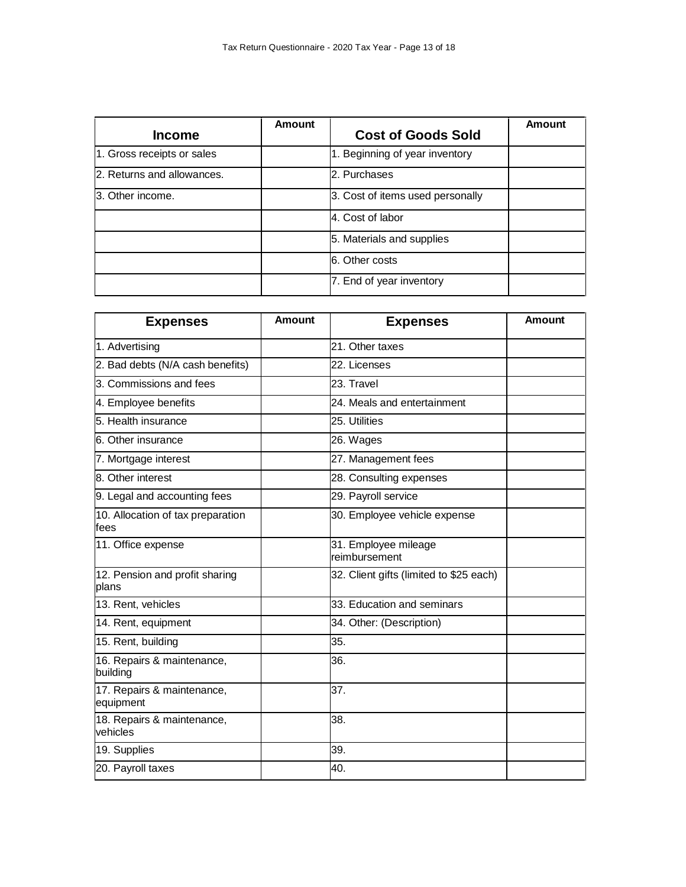| <b>Income</b>              | <b>Amount</b> | <b>Cost of Goods Sold</b>        | Amount |
|----------------------------|---------------|----------------------------------|--------|
| 1. Gross receipts or sales |               | 1. Beginning of year inventory   |        |
| 2. Returns and allowances. |               | 2. Purchases                     |        |
| l3. Other income.          |               | 3. Cost of items used personally |        |
|                            |               | 4. Cost of labor                 |        |
|                            |               | 5. Materials and supplies        |        |
|                            |               | 6. Other costs                   |        |
|                            |               | 7. End of year inventory         |        |

| <b>Expenses</b>                           | <b>Amount</b> | <b>Expenses</b>                         | Amount |
|-------------------------------------------|---------------|-----------------------------------------|--------|
| 1. Advertising                            |               | 21. Other taxes                         |        |
| 2. Bad debts (N/A cash benefits)          |               | 22. Licenses                            |        |
| 3. Commissions and fees                   |               | 23. Travel                              |        |
| 4. Employee benefits                      |               | 24. Meals and entertainment             |        |
| 5. Health insurance                       |               | 25. Utilities                           |        |
| 6. Other insurance                        |               | 26. Wages                               |        |
| 7. Mortgage interest                      |               | 27. Management fees                     |        |
| 8. Other interest                         |               | 28. Consulting expenses                 |        |
| 9. Legal and accounting fees              |               | 29. Payroll service                     |        |
| 10. Allocation of tax preparation<br>fees |               | 30. Employee vehicle expense            |        |
| 11. Office expense                        |               | 31. Employee mileage<br>reimbursement   |        |
| 12. Pension and profit sharing<br>plans   |               | 32. Client gifts (limited to \$25 each) |        |
| 13. Rent, vehicles                        |               | 33. Education and seminars              |        |
| 14. Rent, equipment                       |               | 34. Other: (Description)                |        |
| 15. Rent, building                        |               | 35.                                     |        |
| 16. Repairs & maintenance,<br>building    |               | 36.                                     |        |
| 17. Repairs & maintenance,<br>equipment   |               | 37.                                     |        |
| 18. Repairs & maintenance,<br>vehicles    |               | 38.                                     |        |
| 19. Supplies                              |               | 39.                                     |        |
| 20. Payroll taxes                         |               | 40.                                     |        |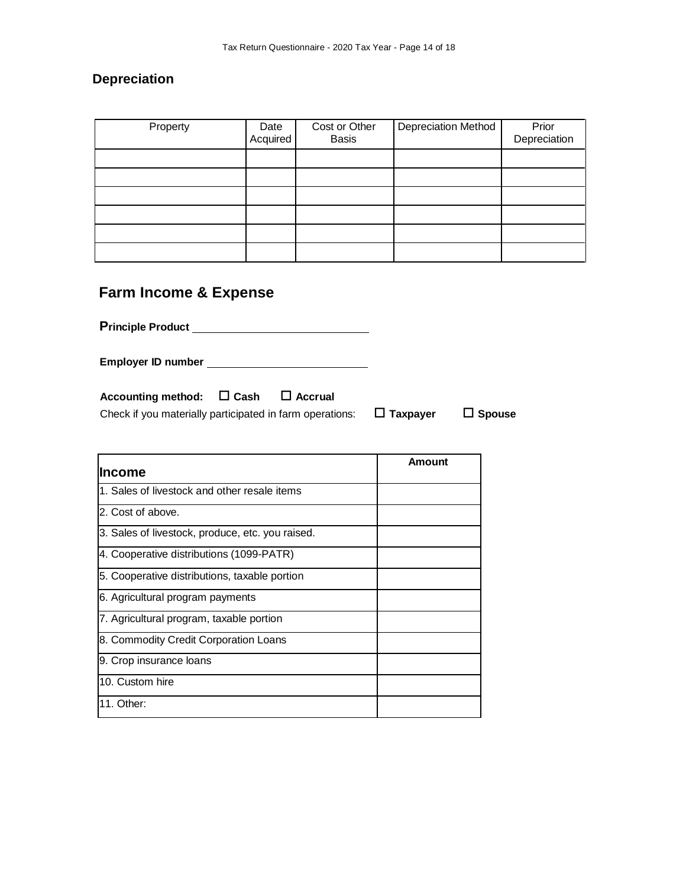#### **Depreciation**

| Property | Date<br>Acquired | Cost or Other<br><b>Basis</b> | <b>Depreciation Method</b> | Prior<br>Depreciation |
|----------|------------------|-------------------------------|----------------------------|-----------------------|
|          |                  |                               |                            |                       |
|          |                  |                               |                            |                       |
|          |                  |                               |                            |                       |
|          |                  |                               |                            |                       |
|          |                  |                               |                            |                       |
|          |                  |                               |                            |                       |

# **Farm Income & Expense**

**Principle Product** 

**Employer ID number** 

| Check if you materially participated in farm operations: | $\Box$ Taxpayer | $\Box$ Spouse |
|----------------------------------------------------------|-----------------|---------------|
|                                                          |                 |               |

| <b>Income</b>                                    | Amount |
|--------------------------------------------------|--------|
| 1. Sales of livestock and other resale items     |        |
| 2. Cost of above.                                |        |
| 3. Sales of livestock, produce, etc. you raised. |        |
| 4. Cooperative distributions (1099-PATR)         |        |
| 5. Cooperative distributions, taxable portion    |        |
| 6. Agricultural program payments                 |        |
| 7. Agricultural program, taxable portion         |        |
| 8. Commodity Credit Corporation Loans            |        |
| 9. Crop insurance loans                          |        |
| 10. Custom hire                                  |        |
| 11. Other:                                       |        |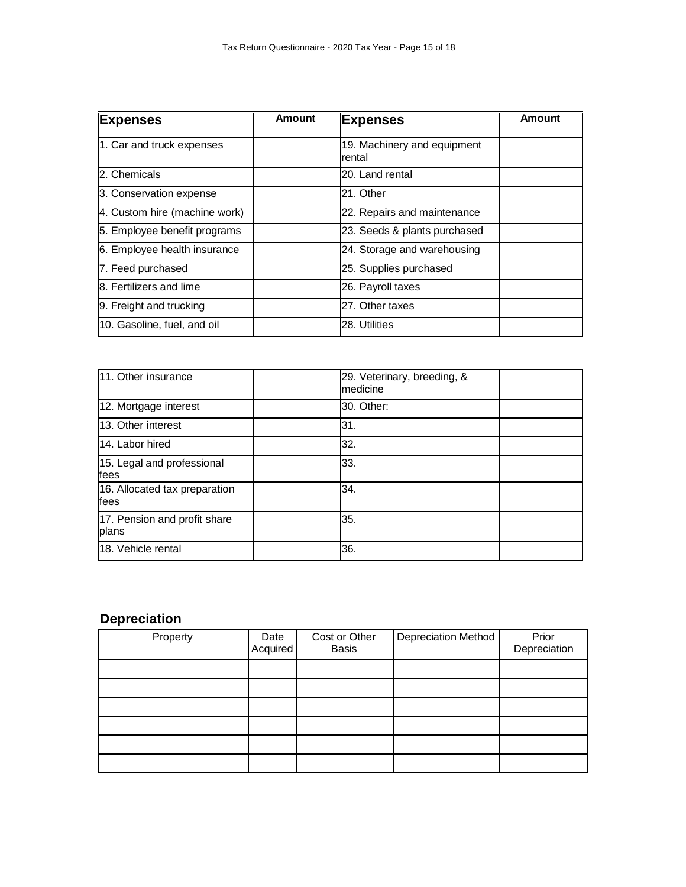| <b>Expenses</b>               | <b>Amount</b> | <b>Expenses</b>                       | <b>Amount</b> |
|-------------------------------|---------------|---------------------------------------|---------------|
| 1. Car and truck expenses     |               | 19. Machinery and equipment<br>rental |               |
| 2. Chemicals                  |               | 20. Land rental                       |               |
| 3. Conservation expense       |               | 21. Other                             |               |
| 4. Custom hire (machine work) |               | 22. Repairs and maintenance           |               |
| 5. Employee benefit programs  |               | 23. Seeds & plants purchased          |               |
| 6. Employee health insurance  |               | 24. Storage and warehousing           |               |
| 7. Feed purchased             |               | 25. Supplies purchased                |               |
| 8. Fertilizers and lime       |               | 26. Payroll taxes                     |               |
| 9. Freight and trucking       |               | 27. Other taxes                       |               |
| 10. Gasoline, fuel, and oil   |               | 28. Utilities                         |               |

| 11. Other insurance                   | 29. Veterinary, breeding, &<br>medicine |  |
|---------------------------------------|-----------------------------------------|--|
| 12. Mortgage interest                 | 30. Other:                              |  |
| 13. Other interest                    | 31.                                     |  |
| 14. Labor hired                       | 32.                                     |  |
| 15. Legal and professional<br>fees    | 33.                                     |  |
| 16. Allocated tax preparation<br>fees | 34.                                     |  |
| 17. Pension and profit share<br>plans | 35.                                     |  |
| 18. Vehicle rental                    | 36.                                     |  |

# **Depreciation**

| Property | Date<br>Acquired | Cost or Other<br><b>Basis</b> | Depreciation Method | Prior<br>Depreciation |
|----------|------------------|-------------------------------|---------------------|-----------------------|
|          |                  |                               |                     |                       |
|          |                  |                               |                     |                       |
|          |                  |                               |                     |                       |
|          |                  |                               |                     |                       |
|          |                  |                               |                     |                       |
|          |                  |                               |                     |                       |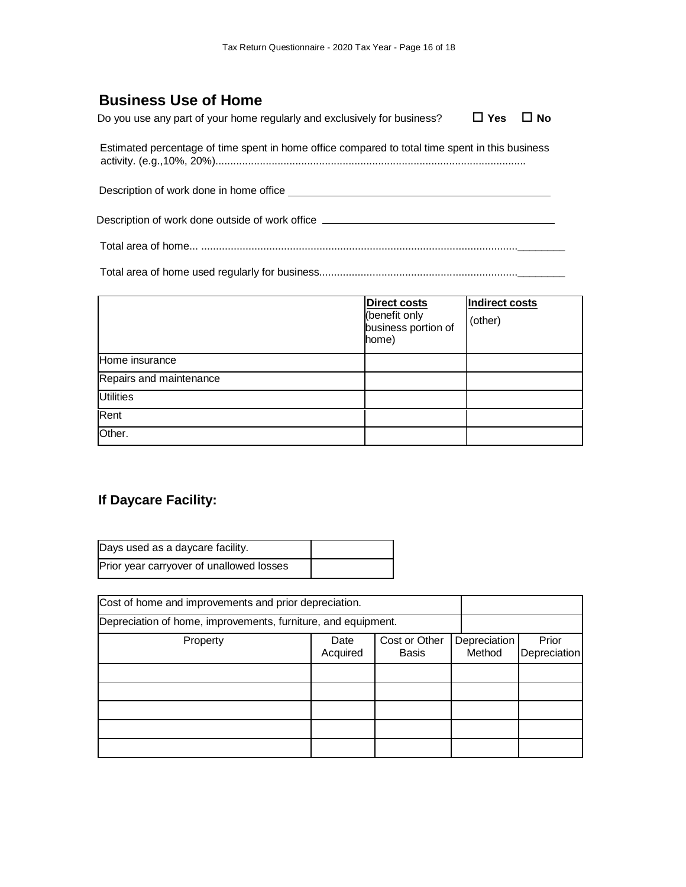# **Business Use of Home**

Do you use any part of your home regularly and exclusively for business?  $\Box$  Yes  $\Box$  No

Estimated percentage of time spent in home office compared to total time spent in this business activity. (e.g.,10%, 20%).........................................................................................................

Description of work done in home office

Description of work done outside of work office \_\_\_\_\_\_\_\_\_\_\_\_\_\_\_\_\_\_\_\_\_\_\_\_\_\_\_\_\_\_\_\_

Total area of home... ...........................................................................................................**\_\_\_\_\_\_\_\_**

Total area of home used regularly for business...................................................................**\_\_\_\_\_\_\_\_**

|                         | <b>Direct costs</b><br>(benefit only<br>business portion of<br>home) | <b>Indirect costs</b><br>(other) |
|-------------------------|----------------------------------------------------------------------|----------------------------------|
| Home insurance          |                                                                      |                                  |
| Repairs and maintenance |                                                                      |                                  |
| <b>Utilities</b>        |                                                                      |                                  |
| Rent                    |                                                                      |                                  |
| Other.                  |                                                                      |                                  |

### **If Daycare Facility:**

| Days used as a daycare facility.         |  |
|------------------------------------------|--|
| Prior year carryover of unallowed losses |  |

| Cost of home and improvements and prior depreciation.         |                  |                               |                        |                              |
|---------------------------------------------------------------|------------------|-------------------------------|------------------------|------------------------------|
| Depreciation of home, improvements, furniture, and equipment. |                  |                               |                        |                              |
| Property                                                      | Date<br>Acquired | Cost or Other<br><b>Basis</b> | Depreciation<br>Method | Prior<br><b>Depreciation</b> |
|                                                               |                  |                               |                        |                              |
|                                                               |                  |                               |                        |                              |
|                                                               |                  |                               |                        |                              |
|                                                               |                  |                               |                        |                              |
|                                                               |                  |                               |                        |                              |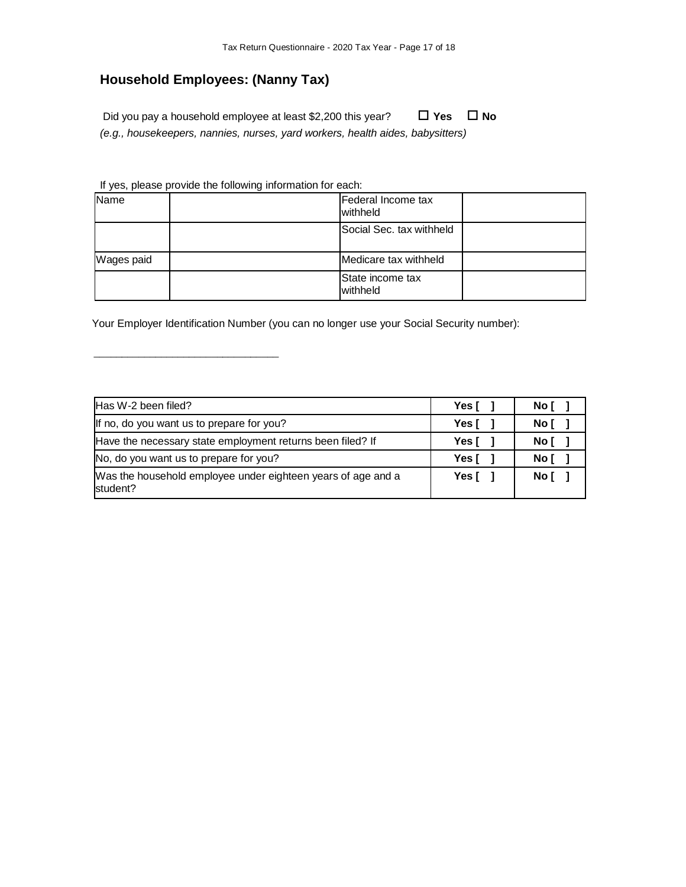# **Household Employees: (Nanny Tax)**

Did you pay a household employee at least \$2,200 this year? □ Yes □ No *(e.g., housekeepers, nannies, nurses, yard workers, health aides, babysitters)*

If yes, please provide the following information for each:

\_\_\_\_\_\_\_\_\_\_\_\_\_\_\_\_\_\_\_\_\_\_\_\_\_\_\_\_\_\_\_\_\_

| Name       | Federal Income tax<br>withheld  |  |
|------------|---------------------------------|--|
|            | <b>Social Sec. tax withheld</b> |  |
| Wages paid | Medicare tax withheld           |  |
|            | State income tax<br>withheld    |  |

Your Employer Identification Number (you can no longer use your Social Security number):

| Has W-2 been filed?                                                      | Yes I          | No [   |
|--------------------------------------------------------------------------|----------------|--------|
| If no, do you want us to prepare for you?                                | Yes [          | Noľ    |
| Have the necessary state employment returns been filed? If               | Yes I          | Noľ    |
| No, do you want us to prepare for you?                                   | Yes [          | No [   |
| Was the household employee under eighteen years of age and a<br>student? | Yes $\lceil$ 1 | No [ 1 |